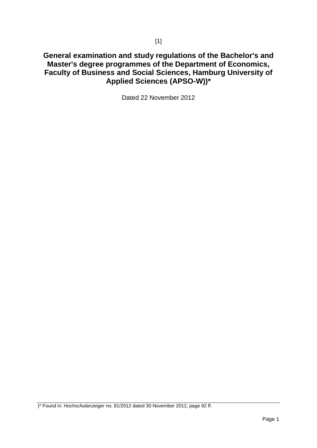# **General examination and study regulations of the Bachelor's and Master's degree programmes of the Department of Economics, Faculty of Business and Social Sciences, Hamburg University of Applied Sciences (APSO-W))\***

Dated 22 November 2012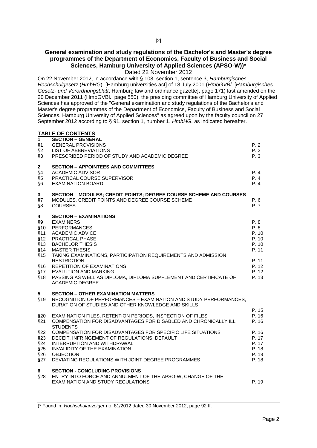## **General examination and study regulations of the Bachelor's and Master's degree programmes of the Department of Economics, Faculty of Business and Social Sciences, Hamburg University of Applied Sciences (APSO-W))\***

Dated 22 November 2012

On 22 November 2012, in accordance with § 108, section 1, sentence 3, *Hamburgisches Hochschulgesetz* (*HmbHG*) [Hamburg universities act] of 18 July 2001 (*HmbGVBl*. [*Hamburgisches Gesetz- und Verordnungsblatt*, Hamburg law and ordinance gazette], page 171) last amended on the 20 December 2011 (HmbGVBl., page 550), the presiding committee of Hamburg University of Applied Sciences has approved of the "General examination and study regulations of the Bachelor's and Master's degree programmes of the Department of Economics, Faculty of Business and Social Sciences, Hamburg University of Applied Sciences" as agreed upon by the faculty council on 27 September 2012 according to § 91, section 1, number 1, *HmbHG*, as indicated hereafter.

## **TABLE OF CONTENTS**

| 1<br>§1<br>§2<br>§3                                                | <b>SECTION – GENERAL</b><br><b>GENERAL PROVISIONS</b><br>LIST OF ABBREVIATIONS<br>PRESCRIBED PERIOD OF STUDY AND ACADEMIC DEGREE                                                                                                                                                                                                                                                                                         | P. 2<br>P.2<br>P.3                                                                   |
|--------------------------------------------------------------------|--------------------------------------------------------------------------------------------------------------------------------------------------------------------------------------------------------------------------------------------------------------------------------------------------------------------------------------------------------------------------------------------------------------------------|--------------------------------------------------------------------------------------|
| $\mathbf{2}$<br>§4<br>§5<br>§6                                     | <b>SECTION - APPOINTEES AND COMMITTEES</b><br><b>ACADEMIC ADVISOR</b><br>PRACTICAL COURSE SUPERVISOR<br><b>EXAMINATION BOARD</b>                                                                                                                                                                                                                                                                                         | P. 4<br>P.4<br>P.4                                                                   |
| $\mathbf{3}$<br>§7<br>§8                                           | <b>SECTION - MODULES; CREDIT POINTS; DEGREE COURSE SCHEME AND COURSES</b><br>MODULES, CREDIT POINTS AND DEGREE COURSE SCHEME<br><b>COURSES</b>                                                                                                                                                                                                                                                                           | P. 6<br>P. 7                                                                         |
| 4<br>$\S9$<br>§10<br>§11<br>§12<br>§13<br>§14<br>§15<br>§16<br>§18 | <b>SECTION - EXAMINATIONS</b><br><b>EXAMINERS</b><br><b>PERFORMANCES</b><br><b>ACADEMIC ADVICE</b><br>PRACTICAL PHASE<br><b>BACHELOR THESIS</b><br><b>MASTER THESIS</b><br>TAKING EXAMINATIONS, PARTICIPATION REQUIREMENTS AND ADMISSION<br><b>RESTRICTION</b><br>REPETITION OF EXAMINATIONS<br>§17 EVALUTION AND MARKING<br>PASSING AS WELL AS DIPLOMA, DIPLOMA SUPPLEMENT AND CERTIFICATE OF<br><b>ACADEMIC DEGREE</b> | P. 8<br>P. 8<br>P. 10<br>P. 10<br>P. 10<br>P. 11<br>P. 11<br>P. 12<br>P. 12<br>P. 13 |
| 5.<br>§19                                                          | <b>SECTION - OTHER EXAMINATION MATTERS</b><br>RECOGNITION OF PERFORMANCES - EXAMINATION AND STUDY PERFORMANCES,<br>DURATION OF STUDIES AND OTHER KNOWLEDGE AND SKILLS                                                                                                                                                                                                                                                    |                                                                                      |
| §20<br>§21<br>§22<br>§23<br>§24<br>§25<br>§26<br>§27               | EXAMINATION FILES, RETENTION PERIODS, INSPECTION OF FILES<br>COMPENSATION FOR DISADVANTAGES FOR DISABLED AND CHRONICALLY ILL<br><b>STUDENTS</b><br>COMPENSATION FOR DISADVANTAGES FOR SPECIFIC LIFE SITUATIONS<br>DECEIT, INFRINGEMENT OF REGULATIONS, DEFAULT<br>INTERRUPTION AND WITHDRAWAL<br>INVALIDITY OF THE EXAMINATION<br><b>OBJECTION</b><br>DEVIATING REGULATIONS WITH JOINT DEGREE PROGRAMMES                 | P. 15<br>P. 16<br>P. 16<br>P. 16<br>P. 17<br>P. 17<br>P. 18<br>P. 18<br>P. 18        |
| 6<br>§28                                                           | <b>SECTION - CONCLUDING PROVISIONS</b><br>ENTRY INTO FORCE AND ANNULMENT OF THE APSO-W, CHANGE OF THE<br>EXAMINATION AND STUDY REGULATIONS                                                                                                                                                                                                                                                                               | P. 19                                                                                |
|                                                                    |                                                                                                                                                                                                                                                                                                                                                                                                                          |                                                                                      |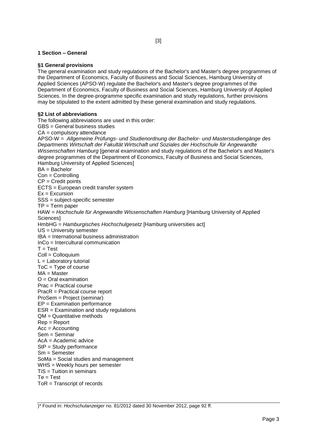## **1 Section – General**

## **§1 General provisions**

The general examination and study regulations of the Bachelor's and Master's degree programmes of the Department of Economics, Faculty of Business and Social Sciences, Hamburg University of Applied Sciences (APSO-W) regulate the Bachelor's and Master's degree programmes of the Department of Economics, Faculty of Business and Social Sciences, Hamburg University of Applied Sciences. In the degree-programme specific examination and study regulations, further provisions may be stipulated to the extent admitted by these general examination and study regulations.

## **§2 List of abbreviations**

The following abbreviations are used in this order: GBS = General business studies CA = compulsory attendance APSO-W = *Allgemeine Prüfungs- und Studienordnung der Bachelor- und Masterstudiengänge des Departments Wirtschaft der Fakultät Wirtschaft und Soziales der Hochschule für Angewandte Wissenschaften Hamburg* [general examination and study regulations of the Bachelor's and Master's degree programmes of the Department of Economics, Faculty of Business and Social Sciences, Hamburg University of Applied Sciences] BA = Bachelor Con = Controlling CP = Credit points ECTS = European credit transfer system  $Ex = Excursion$ SSS = subject-specific semester  $TP = Term$  paper HAW = *Hochschule für Angewandte Wissenschaften Hamburg* [Hamburg University of Applied **Sciences1** HmbHG = *Hamburgisches Hochschulgesetz* [Hamburg universities act] US = University semester IBA = International business administration InCo = Intercultural communication  $T = Test$ Coll = Colloquium  $L =$  Laboratory tutorial  $TOC = Type of course$ MA = Master O = Oral examination Prac = Practical course PracR = Practical course report ProSem = Project (seminar) EP = Examination performance ESR = Examination and study regulations QM = Quantitative methods Rep = Report Acc = Accounting Sem = Seminar AcA = Academic advice StP = Study performance Sm = Semester SoMa = Social studies and management WHS = Weekly hours per semester  $TiS = T$ uition in seminars  $Te = Test$ ToR = Transcript of records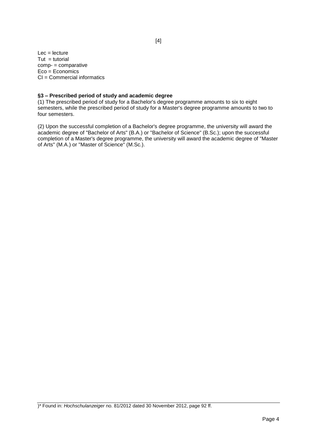$Lec = lecture$  $Tut = tutorial$ comp- = comparative Eco = Economics CI = Commercial informatics

## **§3 – Prescribed period of study and academic degree**

(1) The prescribed period of study for a Bachelor's degree programme amounts to six to eight semesters, while the prescribed period of study for a Master's degree programme amounts to two to four semesters.

(2) Upon the successful completion of a Bachelor's degree programme, the university will award the academic degree of "Bachelor of Arts" (B.A.) or "Bachelor of Science" (B.Sc.); upon the successful completion of a Master's degree programme, the university will award the academic degree of "Master of Arts" (M.A.) or "Master of Science" (M.Sc.).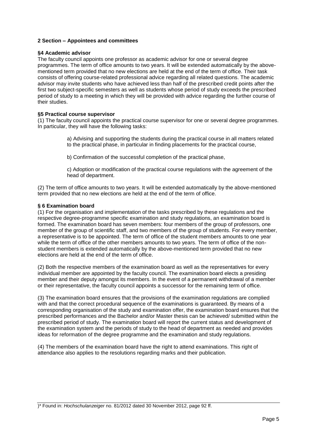## **2 Section – Appointees and committees**

## **§4 Academic advisor**

The faculty council appoints one professor as academic advisor for one or several degree programmes. The term of office amounts to two years. It will be extended automatically by the abovementioned term provided that no new elections are held at the end of the term of office. Their task consists of offering course-related professional advice regarding all related questions. The academic advisor may invite students who have achieved less than half of the prescribed credit points after the first two subject-specific semesters as well as students whose period of study exceeds the prescribed period of study to a meeting in which they will be provided with advice regarding the further course of their studies.

## **§5 Practical course supervisor**

(1) The faculty council appoints the practical course supervisor for one or several degree programmes. In particular, they will have the following tasks:

> a) Advising and supporting the students during the practical course in all matters related to the practical phase, in particular in finding placements for the practical course,

b) Confirmation of the successful completion of the practical phase,

c) Adoption or modification of the practical course regulations with the agreement of the head of department.

(2) The term of office amounts to two years. It will be extended automatically by the above-mentioned term provided that no new elections are held at the end of the term of office.

## **§ 6 Examination board**

(1) For the organisation and implementation of the tasks prescribed by these regulations and the respective degree-programme specific examination and study regulations, an examination board is formed. The examination board has seven members: four members of the group of professors, one member of the group of scientific staff, and two members of the group of students. For every member, a representative is to be appointed. The term of office of the student members amounts to one year while the term of office of the other members amounts to two years. The term of office of the nonstudent members is extended automatically by the above-mentioned term provided that no new elections are held at the end of the term of office.

(2) Both the respective members of the examination board as well as the representatives for every individual member are appointed by the faculty council. The examination board elects a presiding member and their deputy amongst its members. In the event of a permanent withdrawal of a member or their representative, the faculty council appoints a successor for the remaining term of office.

(3) The examination board ensures that the provisions of the examination regulations are complied with and that the correct procedural sequence of the examinations is guaranteed. By means of a corresponding organisation of the study and examination offer, the examination board ensures that the prescribed performances and the Bachelor and/or Master thesis can be achieved/ submitted within the prescribed period of study. The examination board will report the current status and development of the examination system and the periods of study to the head of department as needed and provides ideas for reformation of the degree programme and the examination and study regulations.

(4) The members of the examination board have the right to attend examinations. This right of attendance also applies to the resolutions regarding marks and their publication.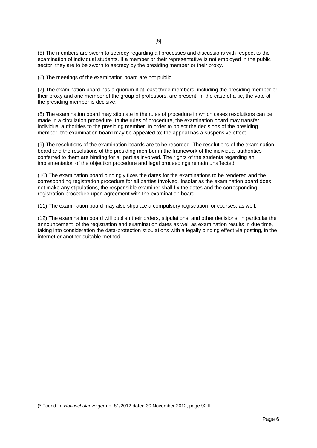(5) The members are sworn to secrecy regarding all processes and discussions with respect to the examination of individual students. If a member or their representative is not employed in the public sector, they are to be sworn to secrecy by the presiding member or their proxy.

(6) The meetings of the examination board are not public.

(7) The examination board has a quorum if at least three members, including the presiding member or their proxy and one member of the group of professors, are present. In the case of a tie, the vote of the presiding member is decisive.

(8) The examination board may stipulate in the rules of procedure in which cases resolutions can be made in a circulation procedure. In the rules of procedure, the examination board may transfer individual authorities to the presiding member. In order to object the decisions of the presiding member, the examination board may be appealed to; the appeal has a suspensive effect.

(9) The resolutions of the examination boards are to be recorded. The resolutions of the examination board and the resolutions of the presiding member in the framework of the individual authorities conferred to them are binding for all parties involved. The rights of the students regarding an implementation of the objection procedure and legal proceedings remain unaffected.

(10) The examination board bindingly fixes the dates for the examinations to be rendered and the corresponding registration procedure for all parties involved. Insofar as the examination board does not make any stipulations, the responsible examiner shall fix the dates and the corresponding registration procedure upon agreement with the examination board.

(11) The examination board may also stipulate a compulsory registration for courses, as well.

(12) The examination board will publish their orders, stipulations, and other decisions, in particular the announcement of the registration and examination dates as well as examination results in due time, taking into consideration the data-protection stipulations with a legally binding effect via posting, in the internet or another suitable method.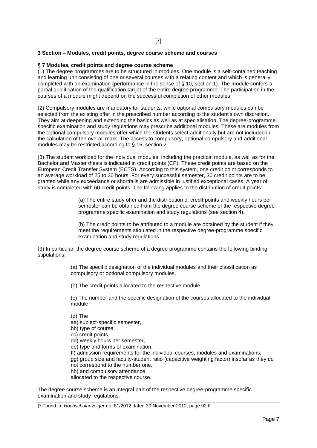## [7]

## **3 Section – Modules, credit points, degree course scheme and courses**

## **§ 7 Modules, credit points and degree course scheme**

(1) The degree programmes are to be structured in modules. One module is a self-contained teaching and learning unit consisting of one or several courses with a relating content and which is generally completed with an examination (performance in the sense of § 10, section 1). The module confers a partial qualification of the qualification target of the entire degree programme. The participation in the courses of a module might depend on the successful completion of other modules.

(2) Compulsory modules are mandatory for students, while optional compulsory modules can be selected from the existing offer in the prescribed number according to the student's own discretion. They aim at deepening and extending the basics as well as at specialisation. The degree-programme specific examination and study regulations may prescribe additional modules. These are modules from the optional compulsory modules offer which the students select additionally but are not included in the calculation of the overall mark. The access to compulsory, optional compulsory and additional modules may be restricted according to § 15, section 2.

(3) The student workload for the individual modules, including the practical module, as well as for the Bachelor and Master thesis is indicated in credit points (CP). These credit points are based on the European Credit Transfer System (ECTS). According to this system, one credit point corresponds to an average workload of 25 to 30 hours. For every successful semester, 30 credit points are to be granted while any exceedance or shortfalls are admissible in justified exceptional cases. A year of study is completed with 60 credit points. The following applies to the distribution of credit points:

> (a) The entire study offer and the distribution of credit points and weekly hours per semester can be obtained from the degree course scheme of the respective degreeprogramme specific examination and study regulations (see section 4).

(b) The credit points to be attributed to a module are obtained by the student if they meet the requirements stipulated in the respective degree-programme specific examination and study regulations.

(3) In particular, the degree course scheme of a degree programme contains the following binding stipulations:

> (a) The specific designation of the individual modules and their classification as compulsory or optional compulsory modules,

(b) The credit points allocated to the respective module,

(c) The number and the specific designation of the courses allocated to the individual module,

(d) The

aa) subject-specific semester,

bb) type of course,

cc) credit points,

- dd) weekly hours per semester,
- ee) type and forms of examination,
- ff) admission requirements for the individual courses, modules and examinations,

gg) group size and faculty-student ratio (capacitive weighting factor) insofar as they do not correspond to the number one,

- hh) and compulsory attendance
- allocated to the respective course.

The degree course scheme is an integral part of the respective degree-programme specific examination and study regulations.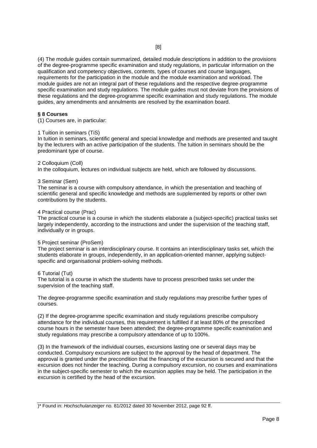(4) The module guides contain summarized, detailed module descriptions in addition to the provisions of the degree-programme specific examination and study regulations, in particular information on the qualification and competency objectives, contents, types of courses and course languages, requirements for the participation in the module and the module examination and workload. The module guides are not an integral part of these regulations and the respective degree-programme specific examination and study regulations. The module guides must not deviate from the provisions of these regulations and the degree-programme specific examination and study regulations. The module guides, any amendments and annulments are resolved by the examination board.

#### **§ 8 Courses**

(1) Courses are, in particular:

#### 1 Tuition in seminars (TiS)

In tuition in seminars, scientific general and special knowledge and methods are presented and taught by the lecturers with an active participation of the students. The tuition in seminars should be the predominant type of course.

#### 2 Colloquium (Coll)

In the colloquium, lectures on individual subjects are held, which are followed by discussions.

#### 3 Seminar (Sem)

The seminar is a course with compulsory attendance, in which the presentation and teaching of scientific general and specific knowledge and methods are supplemented by reports or other own contributions by the students.

#### 4 Practical course (Prac)

The practical course is a course in which the students elaborate a (subject-specific) practical tasks set largely independently, according to the instructions and under the supervision of the teaching staff, individually or in groups.

#### 5 Project seminar (ProSem)

The project seminar is an interdisciplinary course. It contains an interdisciplinary tasks set, which the students elaborate in groups, independently, in an application-oriented manner, applying subjectspecific and organisational problem-solving methods.

#### 6 Tutorial (Tut)

The tutorial is a course in which the students have to process prescribed tasks set under the supervision of the teaching staff.

The degree-programme specific examination and study regulations may prescribe further types of courses.

(2) If the degree-programme specific examination and study regulations prescribe compulsory attendance for the individual courses, this requirement is fulfilled if at least 80% of the prescribed course hours in the semester have been attended; the degree-programme specific examination and study regulations may prescribe a compulsory attendance of up to 100%.

(3) In the framework of the individual courses, excursions lasting one or several days may be conducted. Compulsory excursions are subject to the approval by the head of department. The approval is granted under the precondition that the financing of the excursion is secured and that the excursion does not hinder the teaching. During a compulsory excursion, no courses and examinations in the subject-specific semester to which the excursion applies may be held. The participation in the excursion is certified by the head of the excursion.

<sup>)\*</sup> Found in: *Hochschulanzeiger* no. 81/2012 dated 30 November 2012, page 92 ff.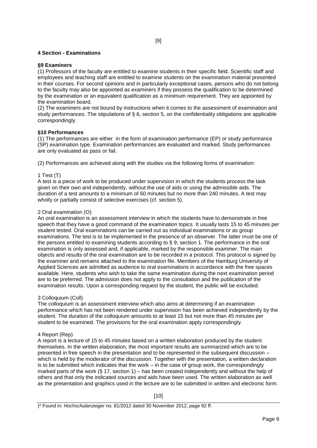## **4 Section - Examinations**

## **§9 Examiners**

(1) Professors of the faculty are entitled to examine students in their specific field. Scientific staff and employees and teaching staff are entitled to examine students on the examination material presented in their courses. For second opinions and in particularly exceptional cases, persons who do not belong to the faculty may also be appointed as examiners if they possess the qualification to be determined by the examination or an equivalent qualification as a minimum requirement. They are appointed by the examination board.

(2) The examiners are not bound by instructions when it comes to the assessment of examination and study performances. The stipulations of § 6, section 5, on the confidentiality obligations are applicable correspondingly.

#### **§10 Performances**

(1) The performances are either in the form of examination performance (EP) or study performance (SP) examination type. Examination performances are evaluated and marked. Study performances are only evaluated as pass or fail.

(2) Performances are achieved along with the studies via the following forms of examination:

## 1 Test (T)

A test is a piece of work to be produced under supervision in which the students process the task given on their own and independently, without the use of aids or using the admissible aids. The duration of a test amounts to a minimum of 60 minutes but no more than 240 minutes. A test may wholly or partially consist of selective exercises (cf. section 5).

#### 2 Oral examination (O)

An oral examination is an assessment interview in which the students have to demonstrate in free speech that they have a good command of the examination topics. It usually lasts 15 to 45 minutes per student tested. Oral examinations can be carried out as individual examinations or as group examinations. The test is to be implemented in the presence of an observer. The latter must be one of the persons entitled to examining students according to § 9, section 1. The performance in the oral examination is only assessed and, if applicable, marked by the responsible examiner. The main objects and results of the oral examination are to be recorded in a protocol. This protocol is signed by the examiner and remains attached to the examination file. Members of the Hamburg University of Applied Sciences are admitted as audience to oral examinations in accordance with the free spaces available. Here, students who wish to take the same examination during the next examination period are to be preferred. The admission does not apply to the consultation and the publication of the examination results. Upon a corresponding request by the student, the public will be excluded.

#### 3 Colloquium (Coll)

The colloquium is an assessment interview which also aims at determining if an examination performance which has not been rendered under supervision has been achieved independently by the student. The duration of the colloquium amounts to at least 15 but not more than 45 minutes per student to be examined. The provisions for the oral examination apply correspondingly.

#### 4 Report (Rep)

A report is a lecture of 15 to 45 minutes based on a written elaboration produced by the student themselves. In the written elaboration, the most important results are summarized which are to be presented in free speech in the presentation and to be represented in the subsequent discussion – which is held by the moderator of the discussion. Together with the presentation, a written declaration is to be submitted which indicates that the work – in the case of group work, the correspondingly marked parts of the work (§ 17, section 1) – has been created independently and without the help of others and that only the indicated sources and aids have been used. The written elaboration as well as the presentation and graphics used in the lecture are to be submitted in written and electronic form.

<sup>)\*</sup> Found in: *Hochschulanzeiger* no. 81/2012 dated 30 November 2012, page 92 ff.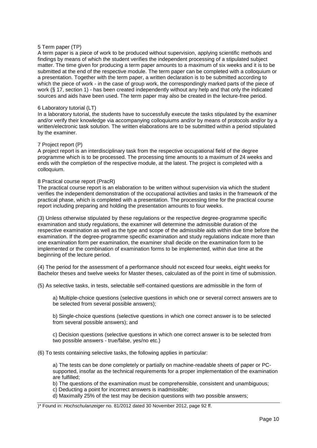## 5 Term paper (TP)

A term paper is a piece of work to be produced without supervision, applying scientific methods and findings by means of which the student verifies the independent processing of a stipulated subject matter. The time given for producing a term paper amounts to a maximum of six weeks and it is to be submitted at the end of the respective module. The term paper can be completed with a colloquium or a presentation. Together with the term paper, a written declaration is to be submitted according to which the piece of work - in the case of group work, the correspondingly marked parts of the piece of work (§ 17, section 1) - has been created independently without any help and that only the indicated sources and aids have been used. The term paper may also be created in the lecture-free period.

#### 6 Laboratory tutorial (LT)

In a laboratory tutorial, the students have to successfully execute the tasks stipulated by the examiner and/or verify their knowledge via accompanying colloquiums and/or by means of protocols and/or by a written/electronic task solution. The written elaborations are to be submitted within a period stipulated by the examiner.

#### 7 Project report (P)

A project report is an interdisciplinary task from the respective occupational field of the degree programme which is to be processed. The processing time amounts to a maximum of 24 weeks and ends with the completion of the respective module, at the latest. The project is completed with a colloquium.

#### 8 Practical course report (PracR)

The practical course report is an elaboration to be written without supervision via which the student verifies the independent demonstration of the occupational activities and tasks in the framework of the practical phase, which is completed with a presentation. The processing time for the practical course report including preparing and holding the presentation amounts to four weeks.

(3) Unless otherwise stipulated by these regulations or the respective degree-programme specific examination and study regulations, the examiner will determine the admissible duration of the respective examination as well as the type and scope of the admissible aids within due time before the examination. If the degree-programme specific examination and study regulations indicate more than one examination form per examination, the examiner shall decide on the examination form to be implemented or the combination of examination forms to be implemented, within due time at the beginning of the lecture period.

(4) The period for the assessment of a performance should not exceed four weeks, eight weeks for Bachelor theses and twelve weeks for Master theses, calculated as of the point in time of submission.

(5) As selective tasks, in tests, selectable self-contained questions are admissible in the form of

a) Multiple-choice questions (selective questions in which one or several correct answers are to be selected from several possible answers);

b) Single-choice questions (selective questions in which one correct answer is to be selected from several possible answers); and

c) Decision questions (selective questions in which one correct answer is to be selected from two possible answers - true/false, yes/no etc.)

(6) To tests containing selective tasks, the following applies in particular:

a) The tests can be done completely or partially on machine-readable sheets of paper or PCsupported, insofar as the technical requirements for a proper implementation of the examination are fulfilled;

b) The questions of the examination must be comprehensible, consistent and unambiguous;

- c) Deducting a point for incorrect answers is inadmissible;
- d) Maximally 25% of the test may be decision questions with two possible answers;

)\* Found in: *Hochschulanzeiger* no. 81/2012 dated 30 November 2012, page 92 ff.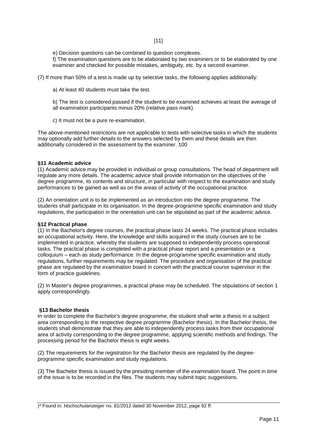e) Decision questions can be combined to question complexes.

f) The examination questions are to be elaborated by two examiners or to be elaborated by one examiner and checked for possible mistakes, ambiguity, etc. by a second examiner.

(7) If more than 50% of a test is made up by selective tasks, the following applies additionally:

a) At least 40 students must take the test.

b) The test is considered passed if the student to be examined achieves at least the average of all examination participants minus 20% (relative pass mark).

c) It must not be a pure re-examination.

The above-mentioned restrictions are not applicable to tests with selective tasks in which the students may optionally add further details to the answers selected by them and these details are then additionally considered in the assessment by the examiner. 100

#### **§11 Academic advice**

(1) Academic advice may be provided in individual or group consultations. The head of department will regulate any more details. The academic advice shall provide information on the objectives of the degree programme, its contents and structure, in particular with respect to the examination and study performances to be gained as well as on the areas of activity of the occupational practice.

(2) An orientation unit is to be implemented as an introduction into the degree programme. The students shall participate in its organisation. In the degree-programme specific examination and study regulations, the participation in the orientation unit can be stipulated as part of the academic advice.

#### **§12 Practical phase**

(1) In the Bachelor's degree courses, the practical phase lasts 24 weeks. The practical phase includes an occupational activity. Here, the knowledge and skills acquired in the study courses are to be implemented in practice, whereby the students are supposed to independently process operational tasks. The practical phase is completed with a practical phase report and a presentation or a colloquium – each as study performance. In the degree-programme specific examination and study regulations, further requirements may be regulated. The procedure and organisation of the practical phase are regulated by the examination board in concert with the practical course supervisor in the form of practice guidelines.

(2) In Master's degree programmes, a practical phase may be scheduled. The stipulations of section 1 apply correspondingly.

#### **§13 Bachelor thesis**

In order to complete the Bachelor's degree programme, the student shall write a thesis in a subject area corresponding to the respective degree programme (Bachelor thesis). In the Bachelor thesis, the students shall demonstrate that they are able to independently process tasks from their occupational area of activity corresponding to the degree programme, applying scientific methods and findings. The processing period for the Bachelor thesis is eight weeks.

(2) The requirements for the registration for the Bachelor thesis are regulated by the degreeprogramme specific examination and study regulations.

(3) The Bachelor thesis is issued by the presiding member of the examination board. The point in time of the issue is to be recorded in the files. The students may submit topic suggestions.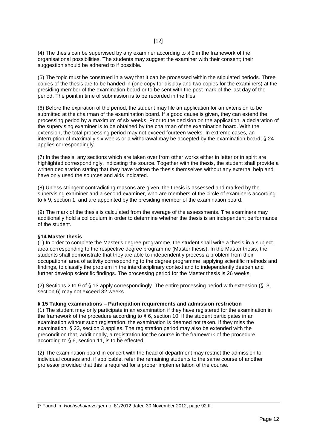(4) The thesis can be supervised by any examiner according to  $\S$  9 in the framework of the organisational possibilities. The students may suggest the examiner with their consent; their suggestion should be adhered to if possible.

(5) The topic must be construed in a way that it can be processed within the stipulated periods. Three copies of the thesis are to be handed in (one copy for display and two copies for the examiners) at the presiding member of the examination board or to be sent with the post mark of the last day of the period. The point in time of submission is to be recorded in the files.

(6) Before the expiration of the period, the student may file an application for an extension to be submitted at the chairman of the examination board. If a good cause is given, they can extend the processing period by a maximum of six weeks. Prior to the decision on the application, a declaration of the supervising examiner is to be obtained by the chairman of the examination board. With the extension, the total processing period may not exceed fourteen weeks. In extreme cases, an interruption of maximally six weeks or a withdrawal may be accepted by the examination board; § 24 applies correspondingly.

(7) In the thesis, any sections which are taken over from other works either in letter or in spirit are highlighted correspondingly, indicating the source. Together with the thesis, the student shall provide a written declaration stating that they have written the thesis themselves without any external help and have only used the sources and aids indicated.

(8) Unless stringent contradicting reasons are given, the thesis is assessed and marked by the supervising examiner and a second examiner, who are members of the circle of examiners according to § 9, section 1, and are appointed by the presiding member of the examination board.

(9) The mark of the thesis is calculated from the average of the assessments. The examiners may additionally hold a colloquium in order to determine whether the thesis is an independent performance of the student.

#### **§14 Master thesis**

(1) In order to complete the Master's degree programme, the student shall write a thesis in a subject area corresponding to the respective degree programme (Master thesis). In the Master thesis, the students shall demonstrate that they are able to independently process a problem from their occupational area of activity corresponding to the degree programme, applying scientific methods and findings, to classify the problem in the interdisciplinary context and to independently deepen and further develop scientific findings. The processing period for the Master thesis is 26 weeks.

(2) Sections 2 to 9 of § 13 apply correspondingly. The entire processing period with extension (§13, section 6) may not exceed 32 weeks.

#### **§ 15 Taking examinations – Participation requirements and admission restriction**

(1) The student may only participate in an examination if they have registered for the examination in the framework of the procedure according to  $\S$  6, section 10. If the student participates in an examination without such registration, the examination is deemed not taken. If they miss the examination, § 23, section 3 applies. The registration period may also be extended with the precondition that, additionally, a registration for the course in the framework of the procedure according to § 6, section 11, is to be effected.

(2) The examination board in concert with the head of department may restrict the admission to individual courses and, if applicable, refer the remaining students to the same course of another professor provided that this is required for a proper implementation of the course.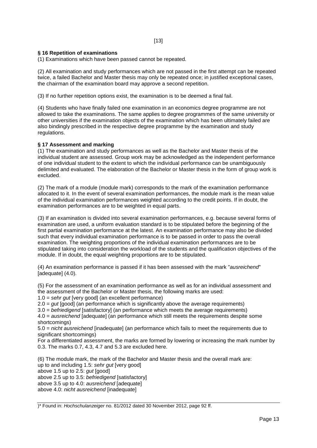## **§ 16 Repetition of examinations**

(1) Examinations which have been passed cannot be repeated.

(2) All examination and study performances which are not passed in the first attempt can be repeated twice, a failed Bachelor and Master thesis may only be repeated once; in justified exceptional cases, the chairman of the examination board may approve a second repetition.

(3) If no further repetition options exist, the examination is to be deemed a final fail.

(4) Students who have finally failed one examination in an economics degree programme are not allowed to take the examinations. The same applies to degree programmes of the same university or other universities if the examination objects of the examination which has been ultimately failed are also bindingly prescribed in the respective degree programme by the examination and study regulations.

## **§ 17 Assessment and marking**

(1) The examination and study performances as well as the Bachelor and Master thesis of the individual student are assessed. Group work may be acknowledged as the independent performance of one individual student to the extent to which the individual performance can be unambiguously delimited and evaluated. The elaboration of the Bachelor or Master thesis in the form of group work is excluded.

(2) The mark of a module (module mark) corresponds to the mark of the examination performance allocated to it. In the event of several examination performances, the module mark is the mean value of the individual examination performances weighted according to the credit points. If in doubt, the examination performances are to be weighted in equal parts.

(3) If an examination is divided into several examination performances, e.g. because several forms of examination are used, a uniform evaluation standard is to be stipulated before the beginning of the first partial examination performance at the latest. An examination performance may also be divided such that every individual examination performance is to be passed in order to pass the overall examination. The weighting proportions of the individual examination performances are to be stipulated taking into consideration the workload of the students and the qualification objectives of the module. If in doubt, the equal weighting proportions are to be stipulated.

(4) An examination performance is passed if it has been assessed with the mark "*ausreichend*" [adequate] (4.0).

(5) For the assessment of an examination performance as well as for an individual assessment and the assessment of the Bachelor or Master thesis, the following marks are used:

1.0 = *sehr gut* [very good] (an excellent performance)

2.0 = *gut* [good] (an performance which is significantly above the average requirements)

3.0 = *befriedigend* [satisfactory] (an performance which meets the average requirements) 4.0 = *ausreichend* [adequate] (an performance which still meets the requirements despite some shortcomings)

5.0 = *nicht ausreichend* [inadequate] (an performance which fails to meet the requirements due to significant shortcomings)

For a differentiated assessment, the marks are formed by lowering or increasing the mark number by 0.3. The marks 0.7, 4.3, 4.7 and 5.3 are excluded here.

(6) The module mark, the mark of the Bachelor and Master thesis and the overall mark are: up to and including 1.5: *sehr gut* [very good] above 1.5 up to 2.5: *gut* [good] above 2.5 up to 3.5: *befriedigend* [satisfactory] above 3.5 up to 4.0: *ausreichend* [adequate] above 4.0: *nicht ausreichend* [inadequate]

<sup>)\*</sup> Found in: *Hochschulanzeiger* no. 81/2012 dated 30 November 2012, page 92 ff.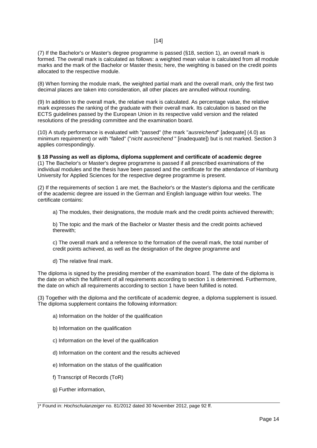(7) If the Bachelor's or Master's degree programme is passed (§18, section 1), an overall mark is formed. The overall mark is calculated as follows: a weighted mean value is calculated from all module marks and the mark of the Bachelor or Master thesis; here, the weighting is based on the credit points allocated to the respective module.

(8) When forming the module mark, the weighted partial mark and the overall mark, only the first two decimal places are taken into consideration, all other places are annulled without rounding.

(9) In addition to the overall mark, the relative mark is calculated. As percentage value, the relative mark expresses the ranking of the graduate with their overall mark. Its calculation is based on the ECTS guidelines passed by the European Union in its respective valid version and the related resolutions of the presiding committee and the examination board.

(10) A study performance is evaluated with "passed" (the mark "*ausreichend*" [adequate] (4.0) as minimum requirement) or with "failed" ("*nicht ausreichend* " [inadequate]) but is not marked. Section 3 applies correspondingly.

**§ 18 Passing as well as diploma, diploma supplement and certificate of academic degree** (1) The Bachelor's or Master's degree programme is passed if all prescribed examinations of the individual modules and the thesis have been passed and the certificate for the attendance of Hamburg University for Applied Sciences for the respective degree programme is present.

(2) If the requirements of section 1 are met, the Bachelor's or the Master's diploma and the certificate of the academic degree are issued in the German and English language within four weeks. The certificate contains:

a) The modules, their designations, the module mark and the credit points achieved therewith;

b) The topic and the mark of the Bachelor or Master thesis and the credit points achieved therewith;

c) The overall mark and a reference to the formation of the overall mark, the total number of credit points achieved, as well as the designation of the degree programme and

d) The relative final mark.

The diploma is signed by the presiding member of the examination board. The date of the diploma is the date on which the fulfilment of all requirements according to section 1 is determined. Furthermore, the date on which all requirements according to section 1 have been fulfilled is noted.

(3) Together with the diploma and the certificate of academic degree, a diploma supplement is issued. The diploma supplement contains the following information:

- a) Information on the holder of the qualification
- b) Information on the qualification
- c) Information on the level of the qualification
- d) Information on the content and the results achieved
- e) Information on the status of the qualification
- f) Transcript of Records (ToR)
- g) Further information,

<sup>)\*</sup> Found in: *Hochschulanzeiger* no. 81/2012 dated 30 November 2012, page 92 ff.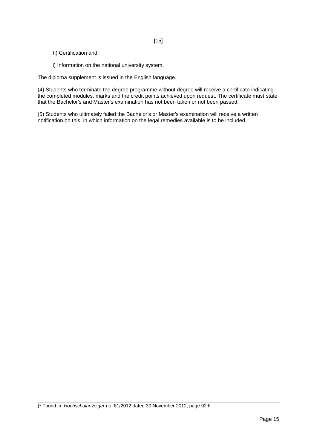- h) Certification and
- i) Information on the national university system.

The diploma supplement is issued in the English language.

(4) Students who terminate the degree programme without degree will receive a certificate indicating the completed modules, marks and the credit points achieved upon request. The certificate must state that the Bachelor's and Master's examination has not been taken or not been passed.

(5) Students who ultimately failed the Bachelor's or Master's examination will receive a written notification on this, in which information on the legal remedies available is to be included.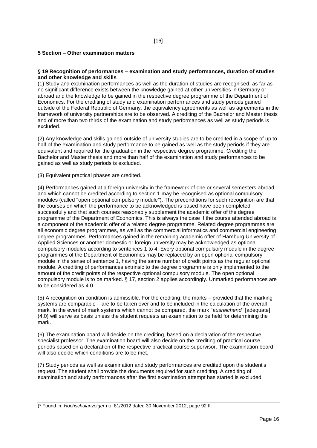## **5 Section – Other examination matters**

#### **§ 19 Recognition of performances – examination and study performances, duration of studies and other knowledge and skills**

(1) Study and examination performances as well as the duration of studies are recognised, as far as no significant difference exists between the knowledge gained at other universities in Germany or abroad and the knowledge to be gained in the respective degree programme of the Department of Economics. For the crediting of study and examination performances and study periods gained outside of the Federal Republic of Germany, the equivalency agreements as well as agreements in the framework of university partnerships are to be observed. A crediting of the Bachelor and Master thesis and of more than two thirds of the examination and study performances as well as study periods is excluded.

(2) Any knowledge and skills gained outside of university studies are to be credited in a scope of up to half of the examination and study performance to be gained as well as the study periods if they are equivalent and required for the graduation in the respective degree programme. Crediting the Bachelor and Master thesis and more than half of the examination and study performances to be gained as well as study periods is excluded.

(3) Equivalent practical phases are credited.

(4) Performances gained at a foreign university in the framework of one or several semesters abroad and which cannot be credited according to section 1 may be recognised as optional compulsory modules (called "open optional compulsory module"). The preconditions for such recognition are that the courses on which the performance to be acknowledged is based have been completed successfully and that such courses reasonably supplement the academic offer of the degree programme of the Department of Economics. This is always the case if the course attended abroad is a component of the academic offer of a related degree programme. Related degree programmes are all economic degree programmes, as well as the commercial informatics and commercial engineering degree programmes. Performances gained in the remaining academic offer of Hamburg University of Applied Sciences or another domestic or foreign university may be acknowledged as optional compulsory modules according to sentences 1 to 4. Every optional compulsory module in the degree programmes of the Department of Economics may be replaced by an open optional compulsory module in the sense of sentence 1, having the same number of credit points as the regular optional module. A crediting of performances extrinsic to the degree programme is only implemented to the amount of the credit points of the respective optional compulsory module. The open optional compulsory module is to be marked. § 17, section 2 applies accordingly. Unmarked performances are to be considered as 4.0.

(5) A recognition on condition is admissible. For the crediting, the marks – provided that the marking systems are comparable – are to be taken over and to be included in the calculation of the overall mark. In the event of mark systems which cannot be compared, the mark "*ausreichend*" [adequate] (4.0) will serve as basis unless the student requests an examination to be held for determining the mark.

(6) The examination board will decide on the crediting, based on a declaration of the respective specialist professor. The examination board will also decide on the crediting of practical course periods based on a declaration of the respective practical course supervisor. The examination board will also decide which conditions are to be met.

(7) Study periods as well as examination and study performances are credited upon the student's request. The student shall provide the documents required for such crediting. A crediting of examination and study performances after the first examination attempt has started is excluded.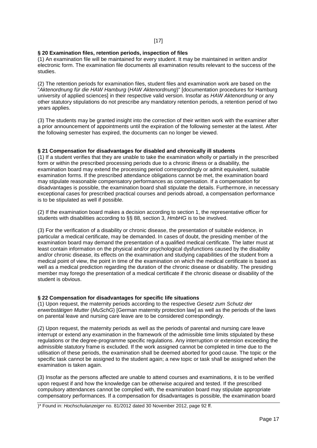## [17]

## **§ 20 Examination files, retention periods, inspection of files**

(1) An examination file will be maintained for every student. It may be maintained in written and/or electronic form. The examination file documents all examination results relevant to the success of the studies.

(2) The retention periods for examination files, student files and examination work are based on the "*Aktenordnung für die HAW Hamburg* (*HAW Aktenordnung*)" [documentation procedures for Hamburg university of applied sciences] in their respective valid version. Insofar as *HAW Aktenordnung* or any other statutory stipulations do not prescribe any mandatory retention periods, a retention period of two years applies.

(3) The students may be granted insight into the correction of their written work with the examiner after a prior announcement of appointments until the expiration of the following semester at the latest. After the following semester has expired, the documents can no longer be viewed.

#### **§ 21 Compensation for disadvantages for disabled and chronically ill students**

(1) If a student verifies that they are unable to take the examination wholly or partially in the prescribed form or within the prescribed processing periods due to a chronic illness or a disability, the examination board may extend the processing period correspondingly or admit equivalent, suitable examination forms. If the prescribed attendance obligations cannot be met, the examination board may stipulate reasonable compensatory performances as compensation. If a compensation for disadvantages is possible, the examination board shall stipulate the details. Furthermore, in necessary exceptional cases for prescribed practical courses and periods abroad, a compensation performance is to be stipulated as well if possible.

(2) If the examination board makes a decision according to section 1, the representative officer for students with disabilities according to §§ 88, section 3, *HmbHG* is to be involved.

(3) For the verification of a disability or chronic disease, the presentation of suitable evidence, in particular a medical certificate, may be demanded. In cases of doubt, the presiding member of the examination board may demand the presentation of a qualified medical certificate. The latter must at least contain information on the physical and/or psychological dysfunctions caused by the disability and/or chronic disease, its effects on the examination and studying capabilities of the student from a medical point of view, the point in time of the examination on which the medical certificate is based as well as a medical prediction regarding the duration of the chronic disease or disability. The presiding member may forego the presentation of a medical certificate if the chronic disease or disability of the student is obvious.

#### **§ 22 Compensation for disadvantages for specific life situations**

(1) Upon request, the maternity periods according to the respective *Gesetz zum Schutz der erwerbstätigen Mutter* (*MuSchG*) [German maternity protection law] as well as the periods of the laws on parental leave and nursing care leave are to be considered correspondingly.

(2) Upon request, the maternity periods as well as the periods of parental and nursing care leave interrupt or extend any examination in the framework of the admissible time limits stipulated by these regulations or the degree-programme specific regulations. Any interruption or extension exceeding the admissible statutory frame is excluded. If the work assigned cannot be completed in time due to the utilisation of these periods, the examination shall be deemed aborted for good cause. The topic or the specific task cannot be assigned to the student again; a new topic or task shall be assigned when the examination is taken again.

(3) Insofar as the persons affected are unable to attend courses and examinations, it is to be verified upon request if and how the knowledge can be otherwise acquired and tested. If the prescribed compulsory attendances cannot be complied with, the examination board may stipulate appropriate compensatory performances. If a compensation for disadvantages is possible, the examination board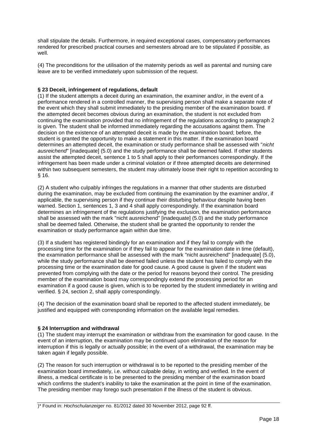shall stipulate the details. Furthermore, in required exceptional cases, compensatory performances rendered for prescribed practical courses and semesters abroad are to be stipulated if possible, as well.

(4) The preconditions for the utilisation of the maternity periods as well as parental and nursing care leave are to be verified immediately upon submission of the request.

## **§ 23 Deceit, infringement of regulations, default**

(1) If the student attempts a deceit during an examination, the examiner and/or, in the event of a performance rendered in a controlled manner, the supervising person shall make a separate note of the event which they shall submit immediately to the presiding member of the examination board. If the attempted deceit becomes obvious during an examination, the student is not excluded from continuing the examination provided that no infringement of the regulations according to paragraph 2 is given. The student shall be informed immediately regarding the accusations against them. The decision on the existence of an attempted deceit is made by the examination board; before, the student is granted the opportunity to make a statement in this matter. If the examination board determines an attempted deceit, the examination or study performance shall be assessed with "*nicht ausreichend*" [inadequate] (5.0) and the study performance shall be deemed failed. If other students assist the attempted deceit, sentence 1 to 5 shall apply to their performances correspondingly. If the infringement has been made under a criminal violation or if three attempted deceits are determined within two subsequent semesters, the student may ultimately loose their right to repetition according to § 16.

(2) A student who culpably infringes the regulations in a manner that other students are disturbed during the examination, may be excluded from continuing the examination by the examiner and/or, if applicable, the supervising person if they continue their disturbing behaviour despite having been warned. Section 1, sentences 1, 3 and 4 shall apply correspondingly. If the examination board determines an infringement of the regulations justifying the exclusion, the examination performance shall be assessed with the mark "nicht ausreichend" [inadequate] (5.0) and the study performance shall be deemed failed. Otherwise, the student shall be granted the opportunity to render the examination or study performance again within due time.

(3) If a student has registered bindingly for an examination and if they fail to comply with the processing time for the examination or if they fail to appear for the examination date in time (default), the examination performance shall be assessed with the mark "nicht ausreichend" [inadequate] (5.0), while the study performance shall be deemed failed unless the student has failed to comply with the processing time or the examination date for good cause. A good cause is given if the student was prevented from complying with the date or the period for reasons beyond their control. The presiding member of the examination board may correspondingly extend the processing period for an examination if a good cause is given, which is to be reported by the student immediately in writing and verified. § 24, section 2, shall apply correspondingly.

(4) The decision of the examination board shall be reported to the affected student immediately, be justified and equipped with corresponding information on the available legal remedies.

## **§ 24 Interruption and withdrawal**

(1) The student may interrupt the examination or withdraw from the examination for good cause. In the event of an interruption, the examination may be continued upon elimination of the reason for interruption if this is legally or actually possible; in the event of a withdrawal, the examination may be taken again if legally possible.

(2) The reason for such interruption or withdrawal is to be reported to the presiding member of the examination board immediately, i.e. without culpable delay, in writing and verified. In the event of illness, a medical certificate is to be presented to the presiding member of the examination board which confirms the student's inability to take the examination at the point in time of the examination. The presiding member may forego such presentation if the illness of the student is obvious.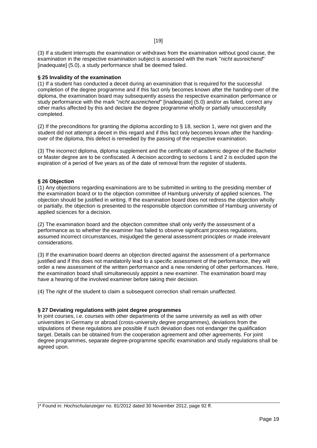(3) If a student interrupts the examination or withdraws from the examination without good cause, the examination in the respective examination subject is assessed with the mark "*nicht ausreichend*" [inadequate] (5.0), a study performance shall be deemed failed.

## **§ 25 Invalidity of the examination**

(1) If a student has conducted a deceit during an examination that is required for the successful completion of the degree programme and if this fact only becomes known after the handing-over of the diploma, the examination board may subsequently assess the respective examination performance or study performance with the mark "*nicht ausreichend*" [inadequate] (5.0) and/or as failed, correct any other marks affected by this and declare the degree programme wholly or partially unsuccessfully completed.

(2) If the preconditions for granting the diploma according to § 18, section 1, were not given and the student did not attempt a deceit in this regard and if this fact only becomes known after the handingover of the diploma, this defect is remedied by the passing of the respective examination.

(3) The incorrect diploma, diploma supplement and the certificate of academic degree of the Bachelor or Master degree are to be confiscated. A decision according to sections 1 and 2 is excluded upon the expiration of a period of five years as of the date of removal from the register of students.

## **§ 26 Objection**

(1) Any objections regarding examinations are to be submitted in writing to the presiding member of the examination board or to the objection committee of Hamburg university of applied sciences. The objection should be justified in writing. If the examination board does not redress the objection wholly or partially, the objection is presented to the responsible objection committee of Hamburg university of applied sciences for a decision.

(2) The examination board and the objection committee shall only verify the assessment of a performance as to whether the examiner has failed to observe significant process regulations, assumed incorrect circumstances, misjudged the general assessment principles or made irrelevant considerations.

(3) If the examination board deems an objection directed against the assessment of a performance justified and if this does not mandatorily lead to a specific assessment of the performance, they will order a new assessment of the written performance and a new rendering of other performances. Here, the examination board shall simultaneously appoint a new examiner. The examination board may have a hearing of the involved examiner before taking their decision.

(4) The right of the student to claim a subsequent correction shall remain unaffected.

#### **§ 27 Deviating regulations with joint degree programmes**

In joint courses, i.e. courses with other departments of the same university as well as with other universities in Germany or abroad (cross-university degree programmes), deviations from the stipulations of these regulations are possible if such deviation does not endanger the qualification target. Details can be obtained from the cooperation agreement and other agreements. For joint degree programmes, separate degree-programme specific examination and study regulations shall be agreed upon.